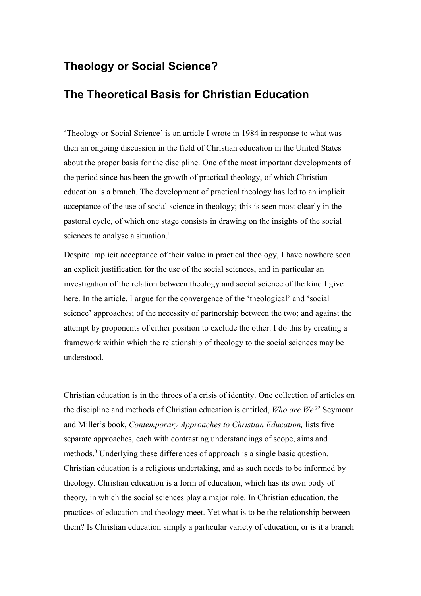# **Theology or Social Science?**

## **The Theoretical Basis for Christian Education**

'Theology or Social Science' is an article I wrote in 1984 in response to what was then an ongoing discussion in the field of Christian education in the United States about the proper basis for the discipline. One of the most important developments of the period since has been the growth of practical theology, of which Christian education is a branch. The development of practical theology has led to an implicit acceptance of the use of social science in theology; this is seen most clearly in the pastoral cycle, of which one stage consists in drawing on the insights of the social sciences to analyse a situation.<sup>[1](#page-12-0)</sup>

Despite implicit acceptance of their value in practical theology, I have nowhere seen an explicit justification for the use of the social sciences, and in particular an investigation of the relation between theology and social science of the kind I give here. In the article, I argue for the convergence of the 'theological' and 'social science' approaches; of the necessity of partnership between the two; and against the attempt by proponents of either position to exclude the other. I do this by creating a framework within which the relationship of theology to the social sciences may be understood.

Christian education is in the throes of a crisis of identity. One collection of articles on the discipline and methods of Christian education is entitled, *Who are We?*[2](#page-12-1) Seymour and Miller's book, *Contemporary Approaches to Christian Education,* lists five separate approaches, each with contrasting understandings of scope, aims and methods.[3](#page-12-2) Underlying these differences of approach is a single basic question. Christian education is a religious undertaking, and as such needs to be informed by theology. Christian education is a form of education, which has its own body of theory, in which the social sciences play a major role. In Christian education, the practices of education and theology meet. Yet what is to be the relationship between them? Is Christian education simply a particular variety of education, or is it a branch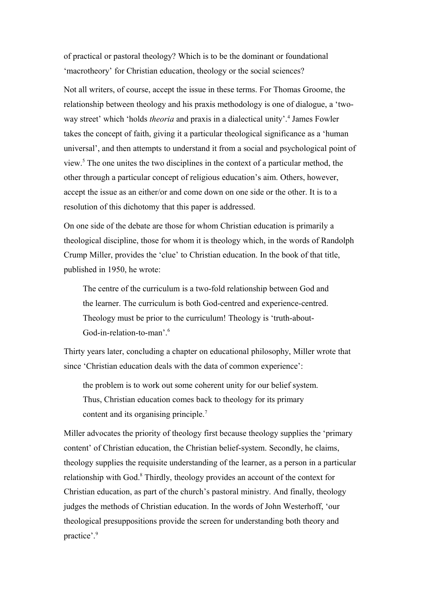of practical or pastoral theology? Which is to be the dominant or foundational 'macrotheory' for Christian education, theology or the social sciences?

Not all writers, of course, accept the issue in these terms. For Thomas Groome, the relationship between theology and his praxis methodology is one of dialogue, a 'twoway street' which 'holds *theoria* and praxis in a dialectical unity'.<sup>[4](#page-12-3)</sup> James Fowler takes the concept of faith, giving it a particular theological significance as a 'human universal', and then attempts to understand it from a social and psychological point of view.[5](#page-12-4) The one unites the two disciplines in the context of a particular method, the other through a particular concept of religious education's aim. Others, however, accept the issue as an either/or and come down on one side or the other. It is to a resolution of this dichotomy that this paper is addressed.

On one side of the debate are those for whom Christian education is primarily a theological discipline, those for whom it is theology which, in the words of Randolph Crump Miller, provides the 'clue' to Christian education. In the book of that title, published in 1950, he wrote:

The centre of the curriculum is a two-fold relationship between God and the learner. The curriculum is both God-centred and experience-centred. Theology must be prior to the curriculum! Theology is 'truth-about-God-in-relation-to-man'.<sup>[6](#page-12-5)</sup>

Thirty years later, concluding a chapter on educational philosophy, Miller wrote that since 'Christian education deals with the data of common experience':

the problem is to work out some coherent unity for our belief system. Thus, Christian education comes back to theology for its primary content and its organising principle.<sup>[7](#page-12-6)</sup>

Miller advocates the priority of theology first because theology supplies the 'primary content' of Christian education, the Christian belief-system. Secondly, he claims, theology supplies the requisite understanding of the learner, as a person in a particular relationship with God.<sup>[8](#page-12-7)</sup> Thirdly, theology provides an account of the context for Christian education, as part of the church's pastoral ministry. And finally, theology judges the methods of Christian education. In the words of John Westerhoff, 'our theological presuppositions provide the screen for understanding both theory and practice'.[9](#page-12-8)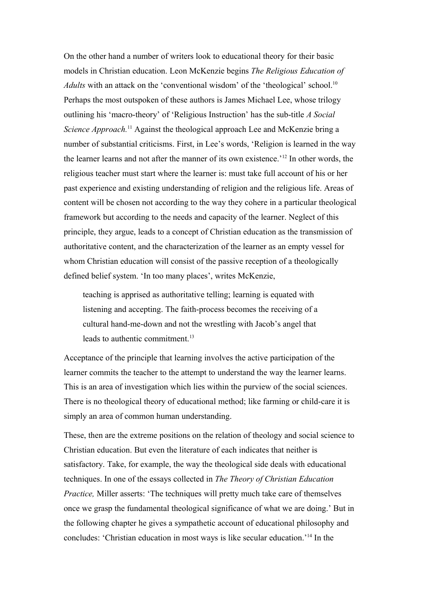On the other hand a number of writers look to educational theory for their basic models in Christian education. Leon McKenzie begins *The Religious Education of Adults* with an attack on the 'conventional wisdom' of the 'theological' school.<sup>[10](#page-12-9)</sup> Perhaps the most outspoken of these authors is James Michael Lee, whose trilogy outlining his 'macro-theory' of 'Religious Instruction' has the sub-title *A Social Science Approach*.<sup>[11](#page-12-10)</sup> Against the theological approach Lee and McKenzie bring a number of substantial criticisms. First, in Lee's words, 'Religion is learned in the way the learner learns and not after the manner of its own existence.'[12](#page-12-11) In other words, the religious teacher must start where the learner is: must take full account of his or her past experience and existing understanding of religion and the religious life. Areas of content will be chosen not according to the way they cohere in a particular theological framework but according to the needs and capacity of the learner. Neglect of this principle, they argue, leads to a concept of Christian education as the transmission of authoritative content, and the characterization of the learner as an empty vessel for whom Christian education will consist of the passive reception of a theologically defined belief system. 'In too many places', writes McKenzie,

teaching is apprised as authoritative telling; learning is equated with listening and accepting. The faith-process becomes the receiving of a cultural hand-me-down and not the wrestling with Jacob's angel that leads to authentic commitment.<sup>[13](#page-12-12)</sup>

Acceptance of the principle that learning involves the active participation of the learner commits the teacher to the attempt to understand the way the learner learns. This is an area of investigation which lies within the purview of the social sciences. There is no theological theory of educational method; like farming or child-care it is simply an area of common human understanding.

These, then are the extreme positions on the relation of theology and social science to Christian education. But even the literature of each indicates that neither is satisfactory. Take, for example, the way the theological side deals with educational techniques. In one of the essays collected in *The Theory of Christian Education Practice*, Miller asserts: 'The techniques will pretty much take care of themselves once we grasp the fundamental theological significance of what we are doing.' But in the following chapter he gives a sympathetic account of educational philosophy and concludes: 'Christian education in most ways is like secular education.'[14](#page-12-13) In the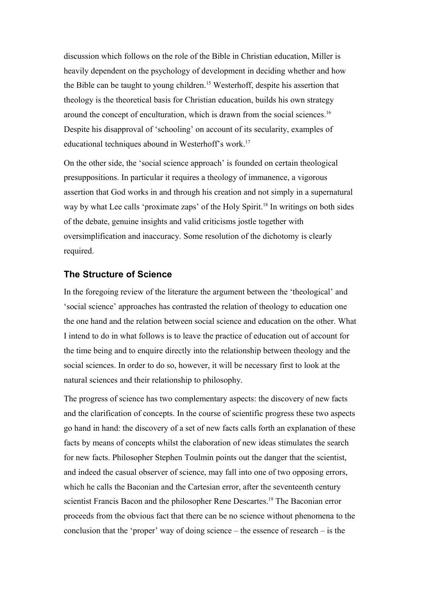discussion which follows on the role of the Bible in Christian education, Miller is heavily dependent on the psychology of development in deciding whether and how the Bible can be taught to young children.[15](#page-12-14) Westerhoff, despite his assertion that theology is the theoretical basis for Christian education, builds his own strategy around the concept of enculturation, which is drawn from the social sciences.[16](#page-12-15) Despite his disapproval of 'schooling' on account of its secularity, examples of educational techniques abound in Westerhoff's work.[17](#page-12-16)

On the other side, the 'social science approach' is founded on certain theological presuppositions. In particular it requires a theology of immanence, a vigorous assertion that God works in and through his creation and not simply in a supernatural way by what Lee calls 'proximate zaps' of the Holy Spirit.<sup>[18](#page-12-17)</sup> In writings on both sides of the debate, genuine insights and valid criticisms jostle together with oversimplification and inaccuracy. Some resolution of the dichotomy is clearly required.

#### **The Structure of Science**

In the foregoing review of the literature the argument between the 'theological' and 'social science' approaches has contrasted the relation of theology to education one the one hand and the relation between social science and education on the other. What I intend to do in what follows is to leave the practice of education out of account for the time being and to enquire directly into the relationship between theology and the social sciences. In order to do so, however, it will be necessary first to look at the natural sciences and their relationship to philosophy.

The progress of science has two complementary aspects: the discovery of new facts and the clarification of concepts. In the course of scientific progress these two aspects go hand in hand: the discovery of a set of new facts calls forth an explanation of these facts by means of concepts whilst the elaboration of new ideas stimulates the search for new facts. Philosopher Stephen Toulmin points out the danger that the scientist, and indeed the casual observer of science, may fall into one of two opposing errors, which he calls the Baconian and the Cartesian error, after the seventeenth century scientist Francis Bacon and the philosopher Rene Descartes.<sup>[19](#page-12-18)</sup> The Baconian error proceeds from the obvious fact that there can be no science without phenomena to the conclusion that the 'proper' way of doing science – the essence of research – is the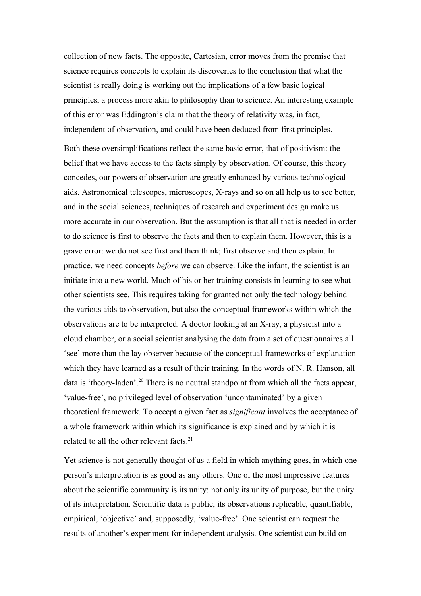collection of new facts. The opposite, Cartesian, error moves from the premise that science requires concepts to explain its discoveries to the conclusion that what the scientist is really doing is working out the implications of a few basic logical principles, a process more akin to philosophy than to science. An interesting example of this error was Eddington's claim that the theory of relativity was, in fact, independent of observation, and could have been deduced from first principles.

Both these oversimplifications reflect the same basic error, that of positivism: the belief that we have access to the facts simply by observation. Of course, this theory concedes, our powers of observation are greatly enhanced by various technological aids. Astronomical telescopes, microscopes, X-rays and so on all help us to see better, and in the social sciences, techniques of research and experiment design make us more accurate in our observation. But the assumption is that all that is needed in order to do science is first to observe the facts and then to explain them. However, this is a grave error: we do not see first and then think; first observe and then explain. In practice, we need concepts *before* we can observe. Like the infant, the scientist is an initiate into a new world. Much of his or her training consists in learning to see what other scientists see. This requires taking for granted not only the technology behind the various aids to observation, but also the conceptual frameworks within which the observations are to be interpreted. A doctor looking at an X-ray, a physicist into a cloud chamber, or a social scientist analysing the data from a set of questionnaires all 'see' more than the lay observer because of the conceptual frameworks of explanation which they have learned as a result of their training. In the words of N. R. Hanson, all data is 'theory-laden'.<sup>[20](#page-12-19)</sup> There is no neutral standpoint from which all the facts appear, 'value-free', no privileged level of observation 'uncontaminated' by a given theoretical framework. To accept a given fact as *significant* involves the acceptance of a whole framework within which its significance is explained and by which it is related to all the other relevant facts.<sup>[21](#page-12-20)</sup>

Yet science is not generally thought of as a field in which anything goes, in which one person's interpretation is as good as any others. One of the most impressive features about the scientific community is its unity: not only its unity of purpose, but the unity of its interpretation. Scientific data is public, its observations replicable, quantifiable, empirical, 'objective' and, supposedly, 'value-free'. One scientist can request the results of another's experiment for independent analysis. One scientist can build on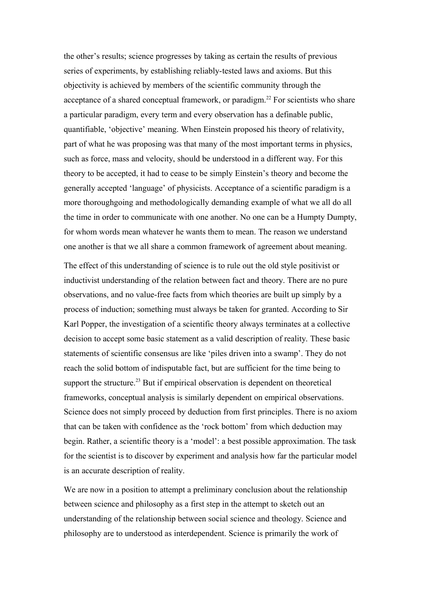the other's results; science progresses by taking as certain the results of previous series of experiments, by establishing reliably-tested laws and axioms. But this objectivity is achieved by members of the scientific community through the acceptance of a shared conceptual framework, or paradigm.<sup>[22](#page-12-21)</sup> For scientists who share a particular paradigm, every term and every observation has a definable public, quantifiable, 'objective' meaning. When Einstein proposed his theory of relativity, part of what he was proposing was that many of the most important terms in physics, such as force, mass and velocity, should be understood in a different way. For this theory to be accepted, it had to cease to be simply Einstein's theory and become the generally accepted 'language' of physicists. Acceptance of a scientific paradigm is a more thoroughgoing and methodologically demanding example of what we all do all the time in order to communicate with one another. No one can be a Humpty Dumpty, for whom words mean whatever he wants them to mean. The reason we understand one another is that we all share a common framework of agreement about meaning.

The effect of this understanding of science is to rule out the old style positivist or inductivist understanding of the relation between fact and theory. There are no pure observations, and no value-free facts from which theories are built up simply by a process of induction; something must always be taken for granted. According to Sir Karl Popper, the investigation of a scientific theory always terminates at a collective decision to accept some basic statement as a valid description of reality. These basic statements of scientific consensus are like 'piles driven into a swamp'. They do not reach the solid bottom of indisputable fact, but are sufficient for the time being to support the structure.<sup>[23](#page-13-0)</sup> But if empirical observation is dependent on theoretical frameworks, conceptual analysis is similarly dependent on empirical observations. Science does not simply proceed by deduction from first principles. There is no axiom that can be taken with confidence as the 'rock bottom' from which deduction may begin. Rather, a scientific theory is a 'model': a best possible approximation. The task for the scientist is to discover by experiment and analysis how far the particular model is an accurate description of reality.

We are now in a position to attempt a preliminary conclusion about the relationship between science and philosophy as a first step in the attempt to sketch out an understanding of the relationship between social science and theology. Science and philosophy are to understood as interdependent. Science is primarily the work of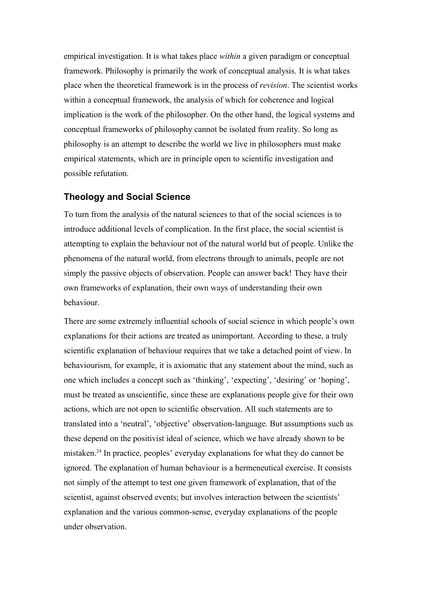empirical investigation. It is what takes place *within* a given paradigm or conceptual framework. Philosophy is primarily the work of conceptual analysis. It is what takes place when the theoretical framework is in the process of *revision*. The scientist works within a conceptual framework, the analysis of which for coherence and logical implication is the work of the philosopher. On the other hand, the logical systems and conceptual frameworks of philosophy cannot be isolated from reality. So long as philosophy is an attempt to describe the world we live in philosophers must make empirical statements, which are in principle open to scientific investigation and possible refutation.

#### **Theology and Social Science**

To turn from the analysis of the natural sciences to that of the social sciences is to introduce additional levels of complication. In the first place, the social scientist is attempting to explain the behaviour not of the natural world but of people. Unlike the phenomena of the natural world, from electrons through to animals, people are not simply the passive objects of observation. People can answer back! They have their own frameworks of explanation, their own ways of understanding their own behaviour.

There are some extremely influential schools of social science in which people's own explanations for their actions are treated as unimportant. According to these, a truly scientific explanation of behaviour requires that we take a detached point of view. In behaviourism, for example, it is axiomatic that any statement about the mind, such as one which includes a concept such as 'thinking', 'expecting', 'desiring' or 'hoping', must be treated as unscientific, since these are explanations people give for their own actions, which are not open to scientific observation. All such statements are to translated into a 'neutral', 'objective' observation-language. But assumptions such as these depend on the positivist ideal of science, which we have already shown to be mistaken.[24](#page-13-1) In practice, peoples' everyday explanations for what they do cannot be ignored. The explanation of human behaviour is a hermeneutical exercise. It consists not simply of the attempt to test one given framework of explanation, that of the scientist, against observed events; but involves interaction between the scientists' explanation and the various common-sense, everyday explanations of the people under observation.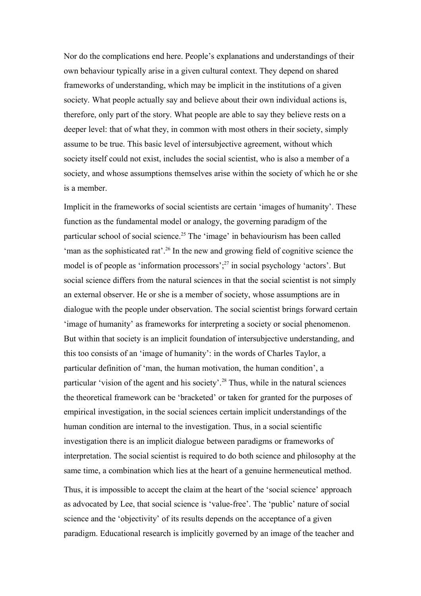Nor do the complications end here. People's explanations and understandings of their own behaviour typically arise in a given cultural context. They depend on shared frameworks of understanding, which may be implicit in the institutions of a given society. What people actually say and believe about their own individual actions is, therefore, only part of the story. What people are able to say they believe rests on a deeper level: that of what they, in common with most others in their society, simply assume to be true. This basic level of intersubjective agreement, without which society itself could not exist, includes the social scientist, who is also a member of a society, and whose assumptions themselves arise within the society of which he or she is a member.

Implicit in the frameworks of social scientists are certain 'images of humanity'. These function as the fundamental model or analogy, the governing paradigm of the particular school of social science.[25](#page-13-2) The 'image' in behaviourism has been called 'man as the sophisticated rat'.<sup>[26](#page-13-3)</sup> In the new and growing field of cognitive science the model is of people as 'information processors'; $^{27}$  $^{27}$  $^{27}$  in social psychology 'actors'. But social science differs from the natural sciences in that the social scientist is not simply an external observer. He or she is a member of society, whose assumptions are in dialogue with the people under observation. The social scientist brings forward certain 'image of humanity' as frameworks for interpreting a society or social phenomenon. But within that society is an implicit foundation of intersubjective understanding, and this too consists of an 'image of humanity': in the words of Charles Taylor, a particular definition of 'man, the human motivation, the human condition', a particular 'vision of the agent and his society'.<sup>[28](#page-13-5)</sup> Thus, while in the natural sciences the theoretical framework can be 'bracketed' or taken for granted for the purposes of empirical investigation, in the social sciences certain implicit understandings of the human condition are internal to the investigation. Thus, in a social scientific investigation there is an implicit dialogue between paradigms or frameworks of interpretation. The social scientist is required to do both science and philosophy at the same time, a combination which lies at the heart of a genuine hermeneutical method.

Thus, it is impossible to accept the claim at the heart of the 'social science' approach as advocated by Lee, that social science is 'value-free'. The 'public' nature of social science and the 'objectivity' of its results depends on the acceptance of a given paradigm. Educational research is implicitly governed by an image of the teacher and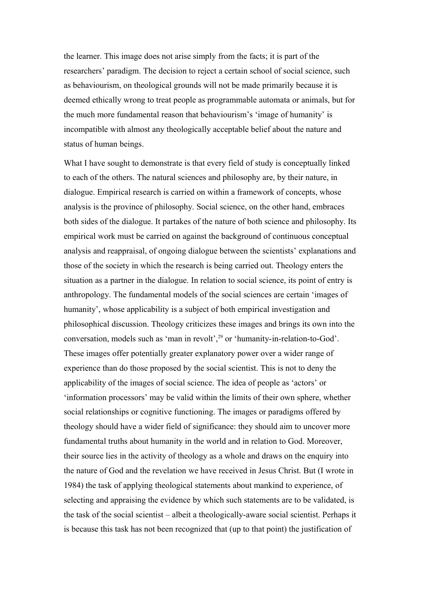the learner. This image does not arise simply from the facts; it is part of the researchers' paradigm. The decision to reject a certain school of social science, such as behaviourism, on theological grounds will not be made primarily because it is deemed ethically wrong to treat people as programmable automata or animals, but for the much more fundamental reason that behaviourism's 'image of humanity' is incompatible with almost any theologically acceptable belief about the nature and status of human beings.

What I have sought to demonstrate is that every field of study is conceptually linked to each of the others. The natural sciences and philosophy are, by their nature, in dialogue. Empirical research is carried on within a framework of concepts, whose analysis is the province of philosophy. Social science, on the other hand, embraces both sides of the dialogue. It partakes of the nature of both science and philosophy. Its empirical work must be carried on against the background of continuous conceptual analysis and reappraisal, of ongoing dialogue between the scientists' explanations and those of the society in which the research is being carried out. Theology enters the situation as a partner in the dialogue. In relation to social science, its point of entry is anthropology. The fundamental models of the social sciences are certain 'images of humanity', whose applicability is a subject of both empirical investigation and philosophical discussion. Theology criticizes these images and brings its own into the conversation, models such as 'man in revolt',<sup>[29](#page-13-6)</sup> or 'humanity-in-relation-to-God'. These images offer potentially greater explanatory power over a wider range of experience than do those proposed by the social scientist. This is not to deny the applicability of the images of social science. The idea of people as 'actors' or 'information processors' may be valid within the limits of their own sphere, whether social relationships or cognitive functioning. The images or paradigms offered by theology should have a wider field of significance: they should aim to uncover more fundamental truths about humanity in the world and in relation to God. Moreover, their source lies in the activity of theology as a whole and draws on the enquiry into the nature of God and the revelation we have received in Jesus Christ. But (I wrote in 1984) the task of applying theological statements about mankind to experience, of selecting and appraising the evidence by which such statements are to be validated, is the task of the social scientist – albeit a theologically-aware social scientist. Perhaps it is because this task has not been recognized that (up to that point) the justification of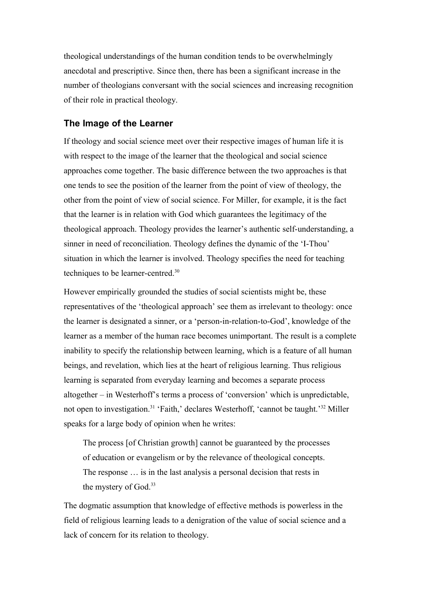theological understandings of the human condition tends to be overwhelmingly anecdotal and prescriptive. Since then, there has been a significant increase in the number of theologians conversant with the social sciences and increasing recognition of their role in practical theology.

### **The Image of the Learner**

If theology and social science meet over their respective images of human life it is with respect to the image of the learner that the theological and social science approaches come together. The basic difference between the two approaches is that one tends to see the position of the learner from the point of view of theology, the other from the point of view of social science. For Miller, for example, it is the fact that the learner is in relation with God which guarantees the legitimacy of the theological approach. Theology provides the learner's authentic self-understanding, a sinner in need of reconciliation. Theology defines the dynamic of the 'I-Thou' situation in which the learner is involved. Theology specifies the need for teaching techniques to be learner-centred.[30](#page-13-7)

However empirically grounded the studies of social scientists might be, these representatives of the 'theological approach' see them as irrelevant to theology: once the learner is designated a sinner, or a 'person-in-relation-to-God', knowledge of the learner as a member of the human race becomes unimportant. The result is a complete inability to specify the relationship between learning, which is a feature of all human beings, and revelation, which lies at the heart of religious learning. Thus religious learning is separated from everyday learning and becomes a separate process altogether – in Westerhoff's terms a process of 'conversion' which is unpredictable, not open to investigation.<sup>[31](#page-13-8)</sup> 'Faith,' declares Westerhoff, 'cannot be taught.'<sup>[32](#page-13-9)</sup> Miller speaks for a large body of opinion when he writes:

The process [of Christian growth] cannot be guaranteed by the processes of education or evangelism or by the relevance of theological concepts. The response … is in the last analysis a personal decision that rests in the mystery of God.[33](#page-13-10)

The dogmatic assumption that knowledge of effective methods is powerless in the field of religious learning leads to a denigration of the value of social science and a lack of concern for its relation to theology.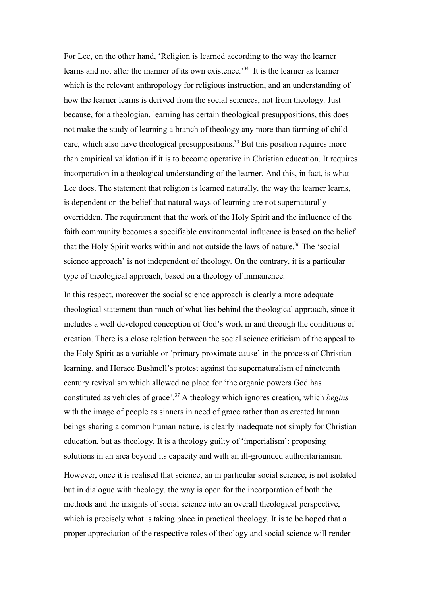For Lee, on the other hand, 'Religion is learned according to the way the learner learns and not after the manner of its own existence.<sup>[34](#page-13-11)</sup> It is the learner as learner which is the relevant anthropology for religious instruction, and an understanding of how the learner learns is derived from the social sciences, not from theology. Just because, for a theologian, learning has certain theological presuppositions, this does not make the study of learning a branch of theology any more than farming of child-care, which also have theological presuppositions.<sup>[35](#page-13-12)</sup> But this position requires more than empirical validation if it is to become operative in Christian education. It requires incorporation in a theological understanding of the learner. And this, in fact, is what Lee does. The statement that religion is learned naturally, the way the learner learns, is dependent on the belief that natural ways of learning are not supernaturally overridden. The requirement that the work of the Holy Spirit and the influence of the faith community becomes a specifiable environmental influence is based on the belief that the Holy Spirit works within and not outside the laws of nature.<sup>[36](#page-13-13)</sup> The 'social science approach' is not independent of theology. On the contrary, it is a particular type of theological approach, based on a theology of immanence.

In this respect, moreover the social science approach is clearly a more adequate theological statement than much of what lies behind the theological approach, since it includes a well developed conception of God's work in and theough the conditions of creation. There is a close relation between the social science criticism of the appeal to the Holy Spirit as a variable or 'primary proximate cause' in the process of Christian learning, and Horace Bushnell's protest against the supernaturalism of nineteenth century revivalism which allowed no place for 'the organic powers God has constituted as vehicles of grace'.[37](#page-13-14) A theology which ignores creation, which *begins* with the image of people as sinners in need of grace rather than as created human beings sharing a common human nature, is clearly inadequate not simply for Christian education, but as theology. It is a theology guilty of 'imperialism': proposing solutions in an area beyond its capacity and with an ill-grounded authoritarianism.

However, once it is realised that science, an in particular social science, is not isolated but in dialogue with theology, the way is open for the incorporation of both the methods and the insights of social science into an overall theological perspective, which is precisely what is taking place in practical theology. It is to be hoped that a proper appreciation of the respective roles of theology and social science will render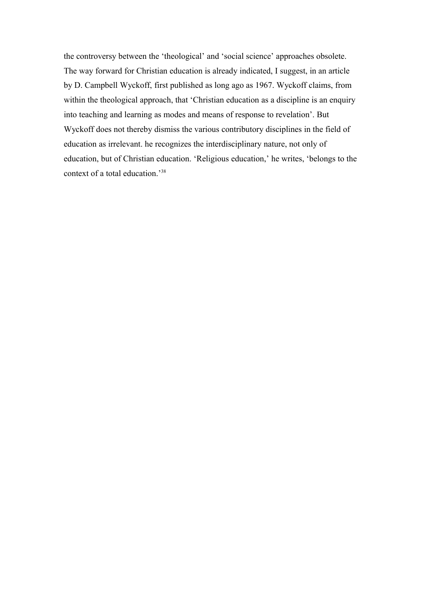the controversy between the 'theological' and 'social science' approaches obsolete. The way forward for Christian education is already indicated, I suggest, in an article by D. Campbell Wyckoff, first published as long ago as 1967. Wyckoff claims, from within the theological approach, that 'Christian education as a discipline is an enquiry into teaching and learning as modes and means of response to revelation'. But Wyckoff does not thereby dismiss the various contributory disciplines in the field of education as irrelevant. he recognizes the interdisciplinary nature, not only of education, but of Christian education. 'Religious education,' he writes, 'belongs to the context of a total education.'[38](#page-13-15)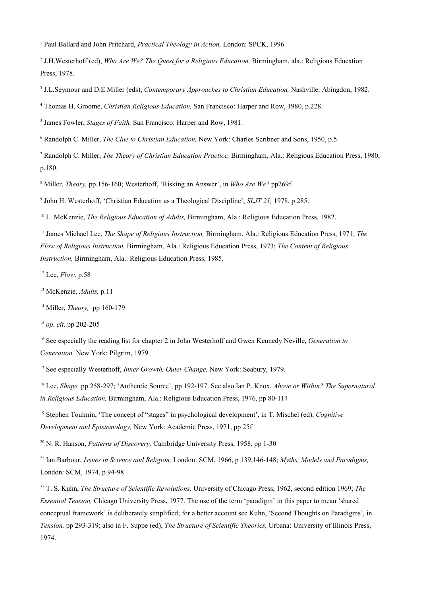<span id="page-12-0"></span><sup>1</sup> Paul Ballard and John Pritchard, *Practical Theology in Action*, London: SPCK, 1996.

<span id="page-12-1"></span>2 J.H.Westerhoff (ed), *Who Are We? The Quest for a Religious Education,* Birmingham, ala.: Religious Education Press, 1978.

<span id="page-12-2"></span>3 J.L.Seymour and D.E.Miller (eds), *Contemporary Approaches to Christian Education,* Nashville: Abingdon, 1982.

<span id="page-12-3"></span>4 Thomas H. Groome, *Christian Religious Education,* San Francisco: Harper and Row, 1980, p.228.

<span id="page-12-4"></span>5 James Fowler, *Stages of Faith,* San Francisco: Harper and Row, 1981.

<span id="page-12-5"></span>6 Randolph C. Miller, *The Clue to Christian Education,* New York: Charles Scribner and Sons, 1950, p.5.

<span id="page-12-6"></span>7 Randolph C. Miller, *The Theory of Christian Education Practice,* Birmingham, Ala.: Religious Education Press, 1980, p.180.

<span id="page-12-7"></span>8 Miller, *Theory,* pp.156-160; Westerhoff, 'Risking an Answer', in *Who Are We?* pp269f.

<span id="page-12-8"></span>9 John H. Westerhoff, 'Christian Education as a Theological Discipline', *SLJT 21,* 1978, p 285.

<span id="page-12-9"></span><sup>10</sup> L. McKenzie, *The Religious Education of Adults,* Birmingham, Ala.: Religious Education Press, 1982.

<span id="page-12-10"></span><sup>11</sup> James Michael Lee, *The Shape of Religious Instruction,* Birmingham, Ala.: Religious Education Press, 1971; *The Flow of Religious Instruction,* Birmingham, Ala.: Religious Education Press, 1973; *The Content of Religious Instruction,* Birmingham, Ala.: Religious Education Press, 1985.

<span id="page-12-11"></span><sup>12</sup> Lee, *Flow,* p.58

<span id="page-12-12"></span><sup>13</sup> McKenzie, *Adults,* p.11

<span id="page-12-13"></span><sup>14</sup> Miller, *Theory,* pp 160-179

<span id="page-12-14"></span><sup>15</sup> *op. cit,* pp 202-205

<span id="page-12-15"></span><sup>16</sup> See especially the reading list for chapter 2 in John Westerhoff and Gwen Kennedy Neville, *Generation to Generation,* New York: Pilgrim, 1979.

<span id="page-12-16"></span><sup>17</sup> See especially Westerhoff, *Inner Growth, Outer Change,* New York: Seabury, 1979.

<span id="page-12-17"></span><sup>18</sup> Lee, *Shape,* pp 258-297; 'Authentic Source', pp 192-197. See also Ian P. Knox, *Above or Within? The Supernatural in Religious Education,* Birmingham, Ala.: Religious Education Press, 1976, pp 80-114

<span id="page-12-18"></span><sup>19</sup> Stephen Toulmin, 'The concept of "stages" in psychological development', in T. Mischel (ed), *Cognitive Development and Epistemology,* New York: Academic Press, 1971, pp 25f

<span id="page-12-19"></span><sup>20</sup> N. R. Hanson, *Patterns of Discovery*, Cambridge University Press, 1958, pp 1-30

<span id="page-12-20"></span><sup>21</sup> Ian Barbour, *Issues in Science and Religion,* London: SCM, 1966, p 139,146-148; *Myths, Models and Paradigms,* London: SCM, 1974, p 94-98

<span id="page-12-21"></span><sup>22</sup> T. S. Kuhn, *The Structure of Scientific Revolutions,* University of Chicago Press, 1962, second edition 1969; *The Essential Tension,* Chicago University Press, 1977. The use of the term 'paradigm' in this paper to mean 'shared conceptual framework' is deliberately simplified; for a better account see Kuhn, 'Second Thoughts on Paradigms', in *Tension,* pp 293-319; also in F. Suppe (ed), *The Structure of Scientific Theories,* Urbana: University of Illinois Press, 1974.